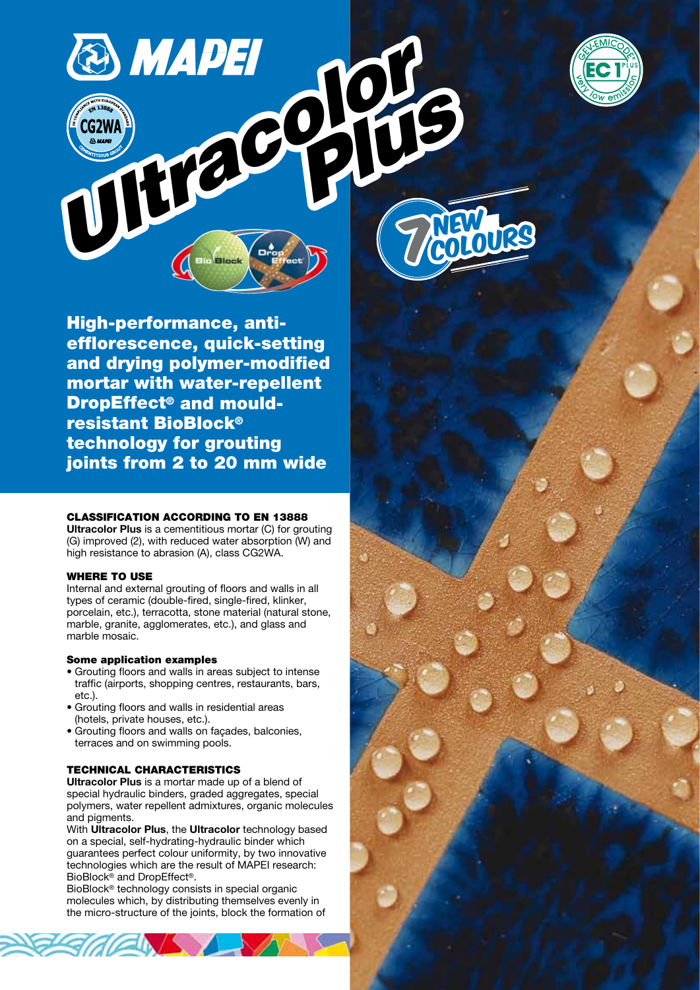

**TREW RS** nEW

High-performance, antiefflorescence, quick-setting and drying polymer-modified mortar with water-repellent DropEffect® and mouldresistant BioBlock® technology for grouting joints from 2 to 20 mm wide G2WA)<br>G2WA (Plus College College College College College College College College College College College College College College College College College College College College College College College College College Colle

ED MAPEI

## CLASSIFICATION ACCORDING TO EN 13888

Ultracolor Plus is a cementitious mortar (C) for grouting (G) improved (2), with reduced water absorption (W) and high resistance to abrasion (A), class CG2WA.

#### WHERE TO USE

Internal and external grouting of floors and walls in all types of ceramic (double-fired, single-fired, klinker, porcelain, etc.), terracotta, stone material (natural stone, marble, granite, agglomerates, etc.), and glass and marble mosaic.

#### Some application examples

- Grouting floors and walls in areas subject to intense traffic (airports, shopping centres, restaurants, bars, etc.).
- Grouting floors and walls in residential areas (hotels, private houses, etc.).
- Grouting floors and walls on façades, balconies, terraces and on swimming pools.

## TECHNICAL CHARACTERISTICS

Ultracolor Plus is a mortar made up of a blend of special hydraulic binders, graded aggregates, special polymers, water repellent admixtures, organic molecules and pigments.

With Ultracolor Plus, the Ultracolor technology based on a special, self-hydrating-hydraulic binder which guarantees perfect colour uniformity, by two innovative technologies which are the result of MAPEI research: BioBlock® and DropEffect®.

BioBlock® technology consists in special organic molecules which, by distributing themselves evenly in the micro-structure of the joints, block the formation of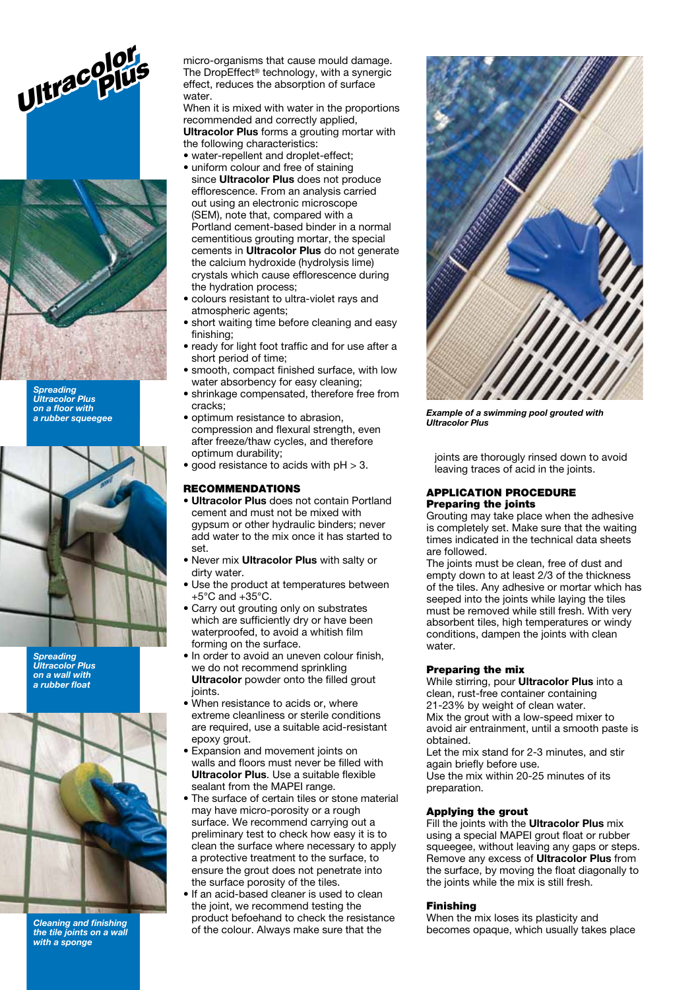



**Spreading** Ultracolor Plus on a floor with<br>a rubber squeegee



**Spreading** Ultracolor Plus on a wall with a rubber float



Cleaning and finishing the tile joints on a wall with a sponge

The DropEffect® technology, with a synergic effect, reduces the absorption of surface water

When it is mixed with water in the proportions recommended and correctly applied, Ultracolor Plus forms a grouting mortar with the following characteristics:

- water-repellent and droplet-effect: • uniform colour and free of staining
- since **Ultracolor Plus** does not produce efflorescence. From an analysis carried out using an electronic microscope (SEM), note that, compared with a Portland cement-based binder in a normal cementitious grouting mortar, the special cements in **Ultracolor Plus** do not generate the calcium hydroxide (hydrolysis lime) crystals which cause efflorescence during the hydration process;
- colours resistant to ultra-violet rays and atmospheric agents:
- short waiting time before cleaning and easy finishing:
- ready for light foot traffic and for use after a short period of time;
- smooth, compact finished surface, with low water absorbency for easy cleaning;
- shrinkage compensated, therefore free from cracks;
- compression and flexural strength, even after freeze/thaw cycles, and therefore optimum durability;
- $\bullet$  good resistance to acids with pH  $>$  3.

# RECOMMENDATIONS

- Ultracolor Plus does not contain Portland cement and must not be mixed with gypsum or other hydraulic binders; never add water to the mix once it has started to set.
- Never mix **Ultracolor Plus** with salty or dirty water.
- Use the product at temperatures between  $+5^{\circ}$ C and  $+35^{\circ}$ C.
- Carry out grouting only on substrates which are sufficiently dry or have been waterproofed, to avoid a whitish film forming on the surface.
- In order to avoid an uneven colour finish, we do not recommend sprinkling Ultracolor powder onto the filled grout joints.
- When resistance to acids or, where extreme cleanliness or sterile conditions are required, use a suitable acid-resistant epoxy grout.
- Expansion and movement joints on walls and floors must never be filled with Ultracolor Plus. Use a suitable flexible sealant from the MAPEI range.
- The surface of certain tiles or stone material may have micro-porosity or a rough surface. We recommend carrying out a preliminary test to check how easy it is to clean the surface where necessary to apply a protective treatment to the surface, to ensure the grout does not penetrate into the surface porosity of the tiles.
- If an acid-based cleaner is used to clean the joint, we recommend testing the product befoehand to check the resistance of the colour. Always make sure that the



of a hoor with the controllers of a swimming pool grouted with<br>a rubber squeegee example optimum resistance to abrasion,<br>a rubber squeegee Ultracolor Plus

joints are thorougly rinsed down to avoid leaving traces of acid in the joints.

#### APPLICATION PROCEDURE Preparing the joints

Grouting may take place when the adhesive is completely set. Make sure that the waiting times indicated in the technical data sheets are followed.

The joints must be clean, free of dust and empty down to at least 2/3 of the thickness of the tiles. Any adhesive or mortar which has seeped into the joints while laying the tiles must be removed while still fresh. With very absorbent tiles, high temperatures or windy conditions, dampen the joints with clean water.

## Preparing the mix

While stirring, pour Ultracolor Plus into a clean, rust-free container containing 21-23% by weight of clean water. Mix the grout with a low-speed mixer to avoid air entrainment, until a smooth paste is obtained.

Let the mix stand for 2-3 minutes, and stir again briefly before use. Use the mix within 20-25 minutes of its

preparation.

# Applying the grout

Fill the joints with the Ultracolor Plus mix using a special MAPEI grout float or rubber squeegee, without leaving any gaps or steps. Remove any excess of Ultracolor Plus from the surface, by moving the float diagonally to the joints while the mix is still fresh.

## Finishing

When the mix loses its plasticity and becomes opaque, which usually takes place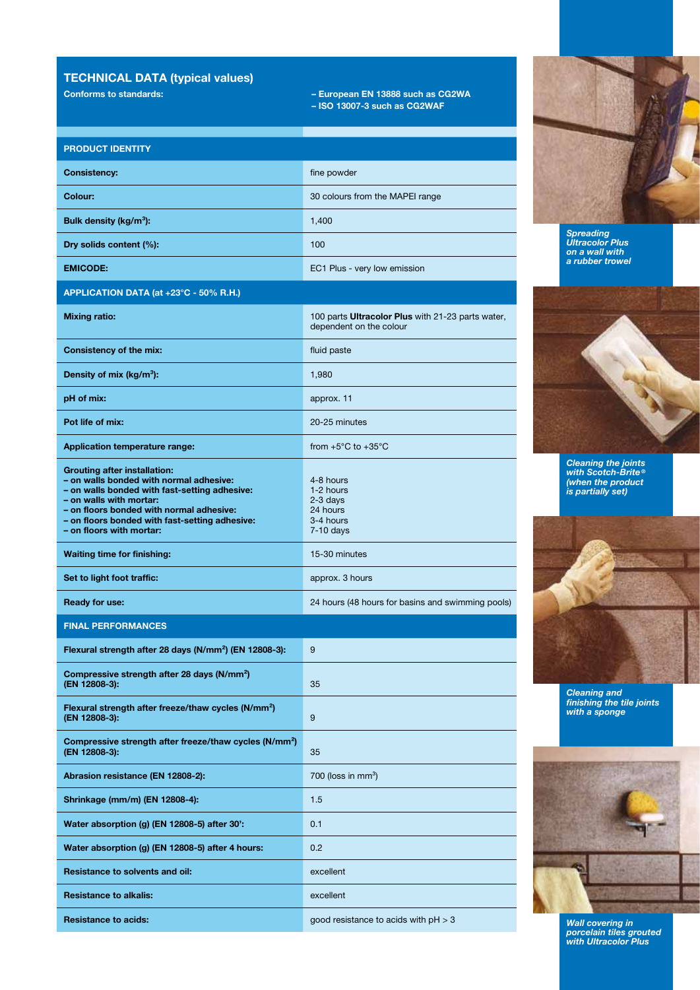# TECHNICAL DATA (typical values)

Conforms to standards: – European EN 13888 such as CG2WA

– ISO 13007-3 such as CG2WAF

| <b>PRODUCT IDENTITY</b>                                                                                                                                                                                                                                                              |                                                                              |  |  |  |
|--------------------------------------------------------------------------------------------------------------------------------------------------------------------------------------------------------------------------------------------------------------------------------------|------------------------------------------------------------------------------|--|--|--|
| <b>Consistency:</b>                                                                                                                                                                                                                                                                  | fine powder                                                                  |  |  |  |
| Colour:                                                                                                                                                                                                                                                                              | 30 colours from the MAPEI range                                              |  |  |  |
| Bulk density (kg/m <sup>3</sup> ):                                                                                                                                                                                                                                                   | 1,400                                                                        |  |  |  |
| Dry solids content (%):                                                                                                                                                                                                                                                              | 100                                                                          |  |  |  |
| <b>EMICODE:</b>                                                                                                                                                                                                                                                                      | EC1 Plus - very low emission                                                 |  |  |  |
| APPLICATION DATA (at +23°C - 50% R.H.)                                                                                                                                                                                                                                               |                                                                              |  |  |  |
| <b>Mixing ratio:</b>                                                                                                                                                                                                                                                                 | 100 parts Ultracolor Plus with 21-23 parts water,<br>dependent on the colour |  |  |  |
| <b>Consistency of the mix:</b>                                                                                                                                                                                                                                                       | fluid paste                                                                  |  |  |  |
| Density of mix (kg/m <sup>3</sup> ):                                                                                                                                                                                                                                                 | 1,980                                                                        |  |  |  |
| pH of mix:                                                                                                                                                                                                                                                                           | approx. 11                                                                   |  |  |  |
| Pot life of mix:                                                                                                                                                                                                                                                                     | 20-25 minutes                                                                |  |  |  |
| <b>Application temperature range:</b>                                                                                                                                                                                                                                                | from $+5^{\circ}$ C to $+35^{\circ}$ C                                       |  |  |  |
| <b>Grouting after installation:</b><br>- on walls bonded with normal adhesive:<br>- on walls bonded with fast-setting adhesive:<br>- on walls with mortar:<br>- on floors bonded with normal adhesive:<br>- on floors bonded with fast-setting adhesive:<br>- on floors with mortar: | 4-8 hours<br>1-2 hours<br>$2-3$ days<br>24 hours<br>3-4 hours<br>$7-10$ days |  |  |  |
| <b>Waiting time for finishing:</b>                                                                                                                                                                                                                                                   | 15-30 minutes                                                                |  |  |  |
| Set to light foot traffic:                                                                                                                                                                                                                                                           | approx. 3 hours                                                              |  |  |  |
| Ready for use:                                                                                                                                                                                                                                                                       | 24 hours (48 hours for basins and swimming pools)                            |  |  |  |
| <b>FINAL PERFORMANCES</b>                                                                                                                                                                                                                                                            |                                                                              |  |  |  |
| Flexural strength after 28 days (N/mm <sup>2</sup> ) (EN 12808-3):                                                                                                                                                                                                                   | 9                                                                            |  |  |  |
| Compressive strength after 28 days (N/mm <sup>2</sup> )<br>(EN 12808-3):                                                                                                                                                                                                             | 35                                                                           |  |  |  |
| Flexural strength after freeze/thaw cycles (N/mm <sup>2</sup> )<br>(EN 12808-3):                                                                                                                                                                                                     | 9                                                                            |  |  |  |
| Compressive strength after freeze/thaw cycles (N/mm <sup>2</sup> )<br>(EN 12808-3):                                                                                                                                                                                                  | 35                                                                           |  |  |  |
| Abrasion resistance (EN 12808-2):                                                                                                                                                                                                                                                    | $700$ (loss in mm <sup>3</sup> )                                             |  |  |  |
| Shrinkage (mm/m) (EN 12808-4):                                                                                                                                                                                                                                                       | 1.5                                                                          |  |  |  |
| Water absorption (g) (EN 12808-5) after 30':                                                                                                                                                                                                                                         | 0.1                                                                          |  |  |  |
| Water absorption (g) (EN 12808-5) after 4 hours:                                                                                                                                                                                                                                     | 0.2                                                                          |  |  |  |
| Resistance to solvents and oil:                                                                                                                                                                                                                                                      | excellent                                                                    |  |  |  |
| <b>Resistance to alkalis:</b>                                                                                                                                                                                                                                                        | excellent                                                                    |  |  |  |
| <b>Resistance to acids:</b>                                                                                                                                                                                                                                                          | good resistance to acids with $pH > 3$                                       |  |  |  |



**Spreading** Ultracolor Plus on a wall with a rubber trowel

Cleaning the joints with Scotch-Brite ® (when the product is partially set)



Cleaning and finishing the tile joints with a sponge



Wall covering in porcelain tiles grouted with Ultracolor Plus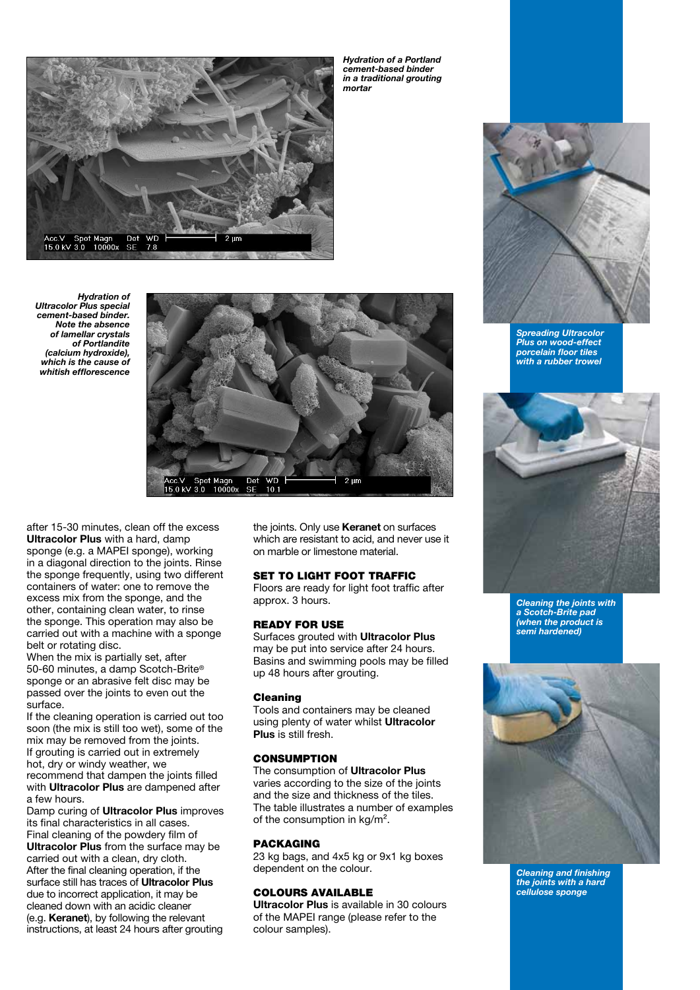

Hydration of **Ultracolor Plus special** cement-based binder. Note the absence of lamellar crystals of Portlandite (calcium hydroxide), which is the cause of whitish efflorescence



after 15-30 minutes, clean off the excess Ultracolor Plus with a hard, damp sponge (e.g. a MAPEI sponge), working in a diagonal direction to the joints. Rinse the sponge frequently, using two different containers of water: one to remove the excess mix from the sponge, and the other, containing clean water, to rinse the sponge. This operation may also be carried out with a machine with a sponge belt or rotating disc.

When the mix is partially set, after 50-60 minutes, a damp Scotch-Brite® sponge or an abrasive felt disc may be passed over the joints to even out the surface.

If the cleaning operation is carried out too soon (the mix is still too wet), some of the  $m$ ix may be removed from the joints. If grouting is carried out in extremely hot, dry or windy weather, we recommend that dampen the joints filled with Ultracolor Plus are dampened after a few hours.

Damp curing of Ultracolor Plus improves its final characteristics in all cases. Final cleaning of the powdery film of Ultracolor Plus from the surface may be carried out with a clean, dry cloth. After the final cleaning operation, if the surface still has traces of Ultracolor Plus due to incorrect application, it may be cleaned down with an acidic cleaner (e.g. Keranet), by following the relevant instructions, at least 24 hours after grouting

the joints. Only use Keranet on surfaces which are resistant to acid, and never use it on marble or limestone material.

## SET TO LIGHT FOOT TRAFFIC

Floors are ready for light foot traffic after approx. 3 hours.

#### READY FOR USE

Surfaces grouted with Ultracolor Plus may be put into service after 24 hours. Basins and swimming pools may be filled up 48 hours after grouting.

#### Cleaning

Tools and containers may be cleaned using plenty of water whilst Ultracolor Plus is still fresh.

#### **CONSUMPTION**

The consumption of Ultracolor Plus varies according to the size of the joints and the size and thickness of the tiles. The table illustrates a number of examples of the consumption in kg/m².

#### PACKAGING

23 kg bags, and 4x5 kg or 9x1 kg boxes dependent on the colour.

#### COLOURS AVAILABLE

Ultracolor Plus is available in 30 colours of the MAPEI range (please refer to the colour samples).



Spreading Ultracolor Plus on wood-effect porcelain floor tiles with a rubber trowel



Cleaning the joints with a Scotch-Brite pad (when the product is semi hardened)



Cleaning and finishing the joints with a hard cellulose sponge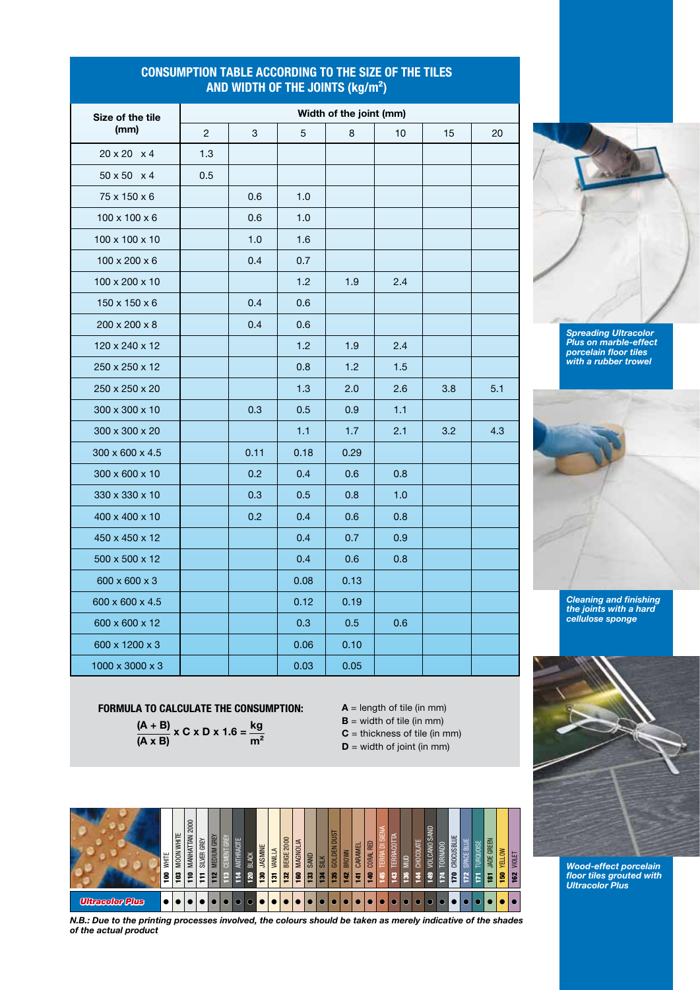| Size of the tile<br>(mm)  | Width of the joint (mm) |      |      |      |     |     |     |  |
|---------------------------|-------------------------|------|------|------|-----|-----|-----|--|
|                           | $\overline{2}$          | 3    | 5    | 8    | 10  | 15  | 20  |  |
| 20 x 20 x 4               | 1.3                     |      |      |      |     |     |     |  |
| $50 \times 50 \times 4$   | 0.5                     |      |      |      |     |     |     |  |
| 75 x 150 x 6              |                         | 0.6  | 1.0  |      |     |     |     |  |
| $100 \times 100 \times 6$ |                         | 0.6  | 1.0  |      |     |     |     |  |
| 100 x 100 x 10            |                         | 1.0  | 1.6  |      |     |     |     |  |
| $100 \times 200 \times 6$ |                         | 0.4  | 0.7  |      |     |     |     |  |
| 100 x 200 x 10            |                         |      | 1.2  | 1.9  | 2.4 |     |     |  |
| $150 \times 150 \times 6$ |                         | 0.4  | 0.6  |      |     |     |     |  |
| 200 x 200 x 8             |                         | 0.4  | 0.6  |      |     |     |     |  |
| 120 x 240 x 12            |                         |      | 1.2  | 1.9  | 2.4 |     |     |  |
| 250 x 250 x 12            |                         |      | 0.8  | 1.2  | 1.5 |     |     |  |
| 250 x 250 x 20            |                         |      | 1.3  | 2.0  | 2.6 | 3.8 | 5.1 |  |
| 300 x 300 x 10            |                         | 0.3  | 0.5  | 0.9  | 1.1 |     |     |  |
| 300 x 300 x 20            |                         |      | 1.1  | 1.7  | 2.1 | 3.2 | 4.3 |  |
| 300 x 600 x 4.5           |                         | 0.11 | 0.18 | 0.29 |     |     |     |  |
| 300 x 600 x 10            |                         | 0.2  | 0.4  | 0.6  | 0.8 |     |     |  |
| 330 x 330 x 10            |                         | 0.3  | 0.5  | 0.8  | 1.0 |     |     |  |
| 400 x 400 x 10            |                         | 0.2  | 0.4  | 0.6  | 0.8 |     |     |  |
| 450 x 450 x 12            |                         |      | 0.4  | 0.7  | 0.9 |     |     |  |
| 500 x 500 x 12            |                         |      | 0.4  | 0.6  | 0.8 |     |     |  |
| 600 x 600 x 3             |                         |      | 0.08 | 0.13 |     |     |     |  |
| 600 x 600 x 4.5           |                         |      | 0.12 | 0.19 |     |     |     |  |
| 600 x 600 x 12            |                         |      | 0.3  | 0.5  | 0.6 |     |     |  |
| 600 x 1200 x 3            |                         |      | 0.06 | 0.10 |     |     |     |  |
| 1000 x 3000 x 3           |                         |      | 0.03 | 0.05 |     |     |     |  |

# CONSUMPTION TABLE ACCORDING TO THE SIZE OF THE TILES AND WIDTH OF THE JOINTS (kg/m²)



Spreading Ultracolor Plus on marble-effect porcelain floor tiles with a rubber trowel

Cleaning and finishing the joints with a hard cellulose sponge



Wood-effect porcelain floor tiles grouted with Ultracolor Plus

FORMULA TO CALCULATE THE CONSUMPTION:  $A = length of file (in mm)$ 

$$
\frac{(A + B)}{(A \times B)} \times C \times D \times 1.6 = \frac{kg}{m^2}
$$

- $B =$  width of tile (in mm)
- $C =$  thickness of tile (in mm)
- $D$  = width of joint (in mm)



N.B.: Due to the printing processes involved, the colours should be taken as merely indicative of the shades of the actual product